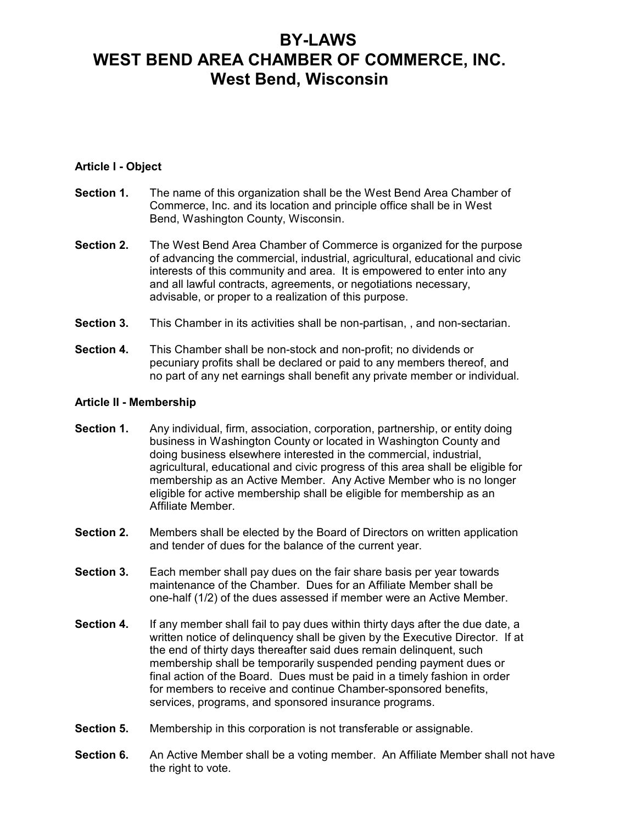# BY-LAWS WEST BEND AREA CHAMBER OF COMMERCE, INC. West Bend, Wisconsin

## Article I - Object

- Section 1. The name of this organization shall be the West Bend Area Chamber of Commerce, Inc. and its location and principle office shall be in West Bend, Washington County, Wisconsin.
- Section 2. The West Bend Area Chamber of Commerce is organized for the purpose of advancing the commercial, industrial, agricultural, educational and civic interests of this community and area. It is empowered to enter into any and all lawful contracts, agreements, or negotiations necessary, advisable, or proper to a realization of this purpose.
- Section 3. This Chamber in its activities shall be non-partisan, , and non-sectarian.
- Section 4. This Chamber shall be non-stock and non-profit; no dividends or pecuniary profits shall be declared or paid to any members thereof, and no part of any net earnings shall benefit any private member or individual.

#### Article II - Membership

- Section 1. Any individual, firm, association, corporation, partnership, or entity doing business in Washington County or located in Washington County and doing business elsewhere interested in the commercial, industrial, agricultural, educational and civic progress of this area shall be eligible for membership as an Active Member. Any Active Member who is no longer eligible for active membership shall be eligible for membership as an Affiliate Member.
- Section 2. Members shall be elected by the Board of Directors on written application and tender of dues for the balance of the current year.
- Section 3. Each member shall pay dues on the fair share basis per year towards maintenance of the Chamber. Dues for an Affiliate Member shall be one-half (1/2) of the dues assessed if member were an Active Member.
- Section 4. If any member shall fail to pay dues within thirty days after the due date, a written notice of delinquency shall be given by the Executive Director. If at the end of thirty days thereafter said dues remain delinquent, such membership shall be temporarily suspended pending payment dues or final action of the Board. Dues must be paid in a timely fashion in order for members to receive and continue Chamber-sponsored benefits, services, programs, and sponsored insurance programs.
- **Section 5.** Membership in this corporation is not transferable or assignable.
- Section 6. An Active Member shall be a voting member. An Affiliate Member shall not have the right to vote.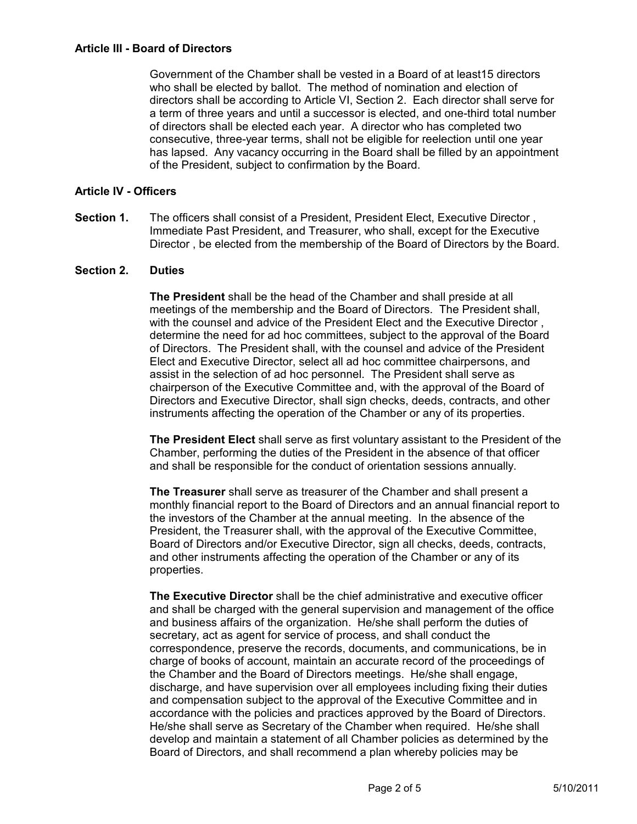Government of the Chamber shall be vested in a Board of at least15 directors who shall be elected by ballot. The method of nomination and election of directors shall be according to Article VI, Section 2. Each director shall serve for a term of three years and until a successor is elected, and one-third total number of directors shall be elected each year. A director who has completed two consecutive, three-year terms, shall not be eligible for reelection until one year has lapsed. Any vacancy occurring in the Board shall be filled by an appointment of the President, subject to confirmation by the Board.

## Article IV - Officers

Section 1. The officers shall consist of a President, President Elect, Executive Director, Immediate Past President, and Treasurer, who shall, except for the Executive Director , be elected from the membership of the Board of Directors by the Board.

#### Section 2. Duties

The President shall be the head of the Chamber and shall preside at all meetings of the membership and the Board of Directors. The President shall, with the counsel and advice of the President Elect and the Executive Director , determine the need for ad hoc committees, subject to the approval of the Board of Directors. The President shall, with the counsel and advice of the President Elect and Executive Director, select all ad hoc committee chairpersons, and assist in the selection of ad hoc personnel. The President shall serve as chairperson of the Executive Committee and, with the approval of the Board of Directors and Executive Director, shall sign checks, deeds, contracts, and other instruments affecting the operation of the Chamber or any of its properties.

The President Elect shall serve as first voluntary assistant to the President of the Chamber, performing the duties of the President in the absence of that officer and shall be responsible for the conduct of orientation sessions annually.

The Treasurer shall serve as treasurer of the Chamber and shall present a monthly financial report to the Board of Directors and an annual financial report to the investors of the Chamber at the annual meeting. In the absence of the President, the Treasurer shall, with the approval of the Executive Committee, Board of Directors and/or Executive Director, sign all checks, deeds, contracts, and other instruments affecting the operation of the Chamber or any of its properties.

The Executive Director shall be the chief administrative and executive officer and shall be charged with the general supervision and management of the office and business affairs of the organization. He/she shall perform the duties of secretary, act as agent for service of process, and shall conduct the correspondence, preserve the records, documents, and communications, be in charge of books of account, maintain an accurate record of the proceedings of the Chamber and the Board of Directors meetings. He/she shall engage, discharge, and have supervision over all employees including fixing their duties and compensation subject to the approval of the Executive Committee and in accordance with the policies and practices approved by the Board of Directors. He/she shall serve as Secretary of the Chamber when required. He/she shall develop and maintain a statement of all Chamber policies as determined by the Board of Directors, and shall recommend a plan whereby policies may be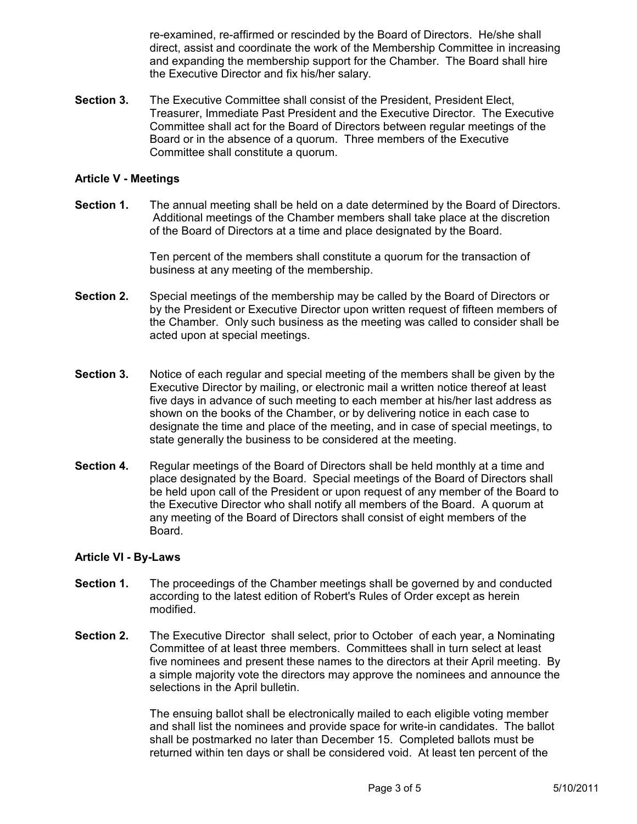re-examined, re-affirmed or rescinded by the Board of Directors. He/she shall direct, assist and coordinate the work of the Membership Committee in increasing and expanding the membership support for the Chamber. The Board shall hire the Executive Director and fix his/her salary.

Section 3. The Executive Committee shall consist of the President, President Elect, Treasurer, Immediate Past President and the Executive Director. The Executive Committee shall act for the Board of Directors between regular meetings of the Board or in the absence of a quorum. Three members of the Executive Committee shall constitute a quorum.

### Article V - Meetings

Section 1. The annual meeting shall be held on a date determined by the Board of Directors. Additional meetings of the Chamber members shall take place at the discretion of the Board of Directors at a time and place designated by the Board.

> Ten percent of the members shall constitute a quorum for the transaction of business at any meeting of the membership.

- Section 2. Special meetings of the membership may be called by the Board of Directors or by the President or Executive Director upon written request of fifteen members of the Chamber. Only such business as the meeting was called to consider shall be acted upon at special meetings.
- Section 3. Notice of each regular and special meeting of the members shall be given by the Executive Director by mailing, or electronic mail a written notice thereof at least five days in advance of such meeting to each member at his/her last address as shown on the books of the Chamber, or by delivering notice in each case to designate the time and place of the meeting, and in case of special meetings, to state generally the business to be considered at the meeting.
- Section 4. Regular meetings of the Board of Directors shall be held monthly at a time and place designated by the Board. Special meetings of the Board of Directors shall be held upon call of the President or upon request of any member of the Board to the Executive Director who shall notify all members of the Board. A quorum at any meeting of the Board of Directors shall consist of eight members of the Board.

#### Article VI - By-Laws

- Section 1. The proceedings of the Chamber meetings shall be governed by and conducted according to the latest edition of Robert's Rules of Order except as herein modified.
- Section 2. The Executive Director shall select, prior to October of each year, a Nominating Committee of at least three members. Committees shall in turn select at least five nominees and present these names to the directors at their April meeting. By a simple majority vote the directors may approve the nominees and announce the selections in the April bulletin.

The ensuing ballot shall be electronically mailed to each eligible voting member and shall list the nominees and provide space for write-in candidates. The ballot shall be postmarked no later than December 15. Completed ballots must be returned within ten days or shall be considered void. At least ten percent of the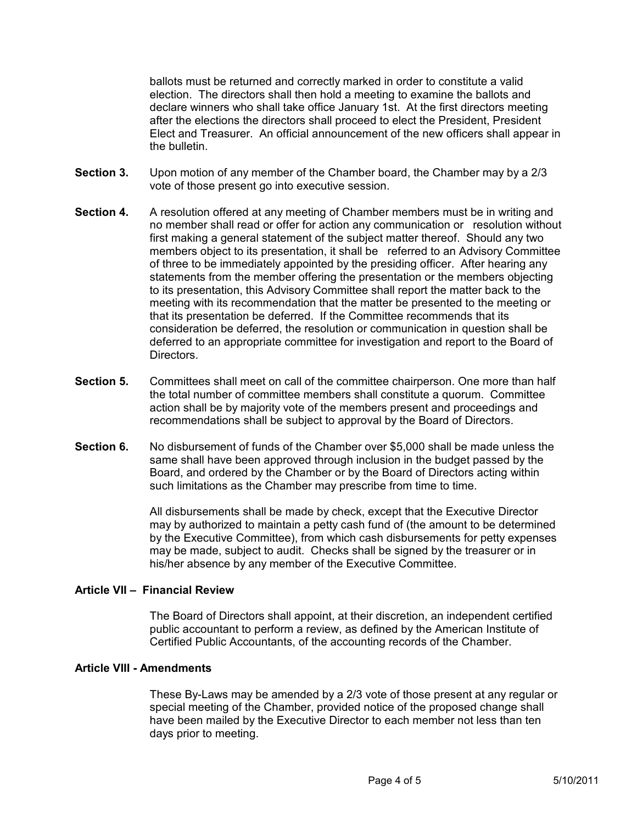ballots must be returned and correctly marked in order to constitute a valid election. The directors shall then hold a meeting to examine the ballots and declare winners who shall take office January 1st. At the first directors meeting after the elections the directors shall proceed to elect the President, President Elect and Treasurer. An official announcement of the new officers shall appear in the bulletin.

- Section 3. Upon motion of any member of the Chamber board, the Chamber may by a 2/3 vote of those present go into executive session.
- Section 4. A resolution offered at any meeting of Chamber members must be in writing and no member shall read or offer for action any communication or resolution without first making a general statement of the subject matter thereof. Should any two members object to its presentation, it shall be referred to an Advisory Committee of three to be immediately appointed by the presiding officer. After hearing any statements from the member offering the presentation or the members objecting to its presentation, this Advisory Committee shall report the matter back to the meeting with its recommendation that the matter be presented to the meeting or that its presentation be deferred. If the Committee recommends that its consideration be deferred, the resolution or communication in question shall be deferred to an appropriate committee for investigation and report to the Board of Directors.
- Section 5. Committees shall meet on call of the committee chairperson. One more than half the total number of committee members shall constitute a quorum. Committee action shall be by majority vote of the members present and proceedings and recommendations shall be subject to approval by the Board of Directors.
- Section 6. No disbursement of funds of the Chamber over \$5,000 shall be made unless the same shall have been approved through inclusion in the budget passed by the Board, and ordered by the Chamber or by the Board of Directors acting within such limitations as the Chamber may prescribe from time to time.

All disbursements shall be made by check, except that the Executive Director may by authorized to maintain a petty cash fund of (the amount to be determined by the Executive Committee), from which cash disbursements for petty expenses may be made, subject to audit. Checks shall be signed by the treasurer or in his/her absence by any member of the Executive Committee.

## Article VII – Financial Review

The Board of Directors shall appoint, at their discretion, an independent certified public accountant to perform a review, as defined by the American Institute of Certified Public Accountants, of the accounting records of the Chamber.

### Article VIII - Amendments

These By-Laws may be amended by a 2/3 vote of those present at any regular or special meeting of the Chamber, provided notice of the proposed change shall have been mailed by the Executive Director to each member not less than ten days prior to meeting.